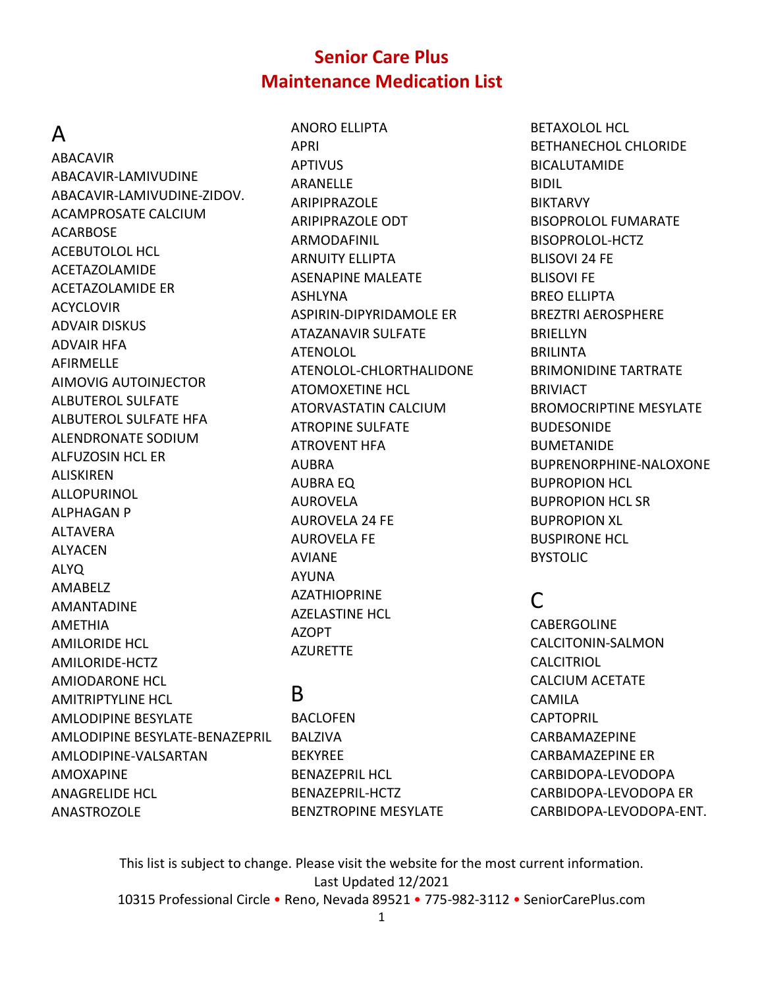#### A

ABACAVIR ABACAVIR-LAMIVUDINE ABACAVIR-LAMIVUDINE-ZIDOV. ACAMPROSATE CALCIUM ACARBOSE ACEBUTOLOL HCL ACETAZOLAMIDE ACETAZOLAMIDE ER ACYCLOVIR ADVAIR DISKUS ADVAIR HFA AFIRMELLE AIMOVIG AUTOINJECTOR ALBUTEROL SULFATE ALBUTEROL SULFATE HFA ALENDRONATE SODIUM ALFUZOSIN HCL ER ALISKIREN ALLOPURINOL ALPHAGAN P ALTAVERA ALYACEN ALYQ AMABELZ AMANTADINE AMETHIA AMILORIDE HCL AMILORIDE-HCTZ AMIODARONE HCL AMITRIPTYLINE HCL AMLODIPINE BESYLATE AMLODIPINE BESYLATE-BENAZEPRIL AMLODIPINE-VALSARTAN AMOXAPINE ANAGRELIDE HCL ANASTROZOLE

ANORO ELLIPTA APRI APTIVUS ARANELLE ARIPIPRAZOLE ARIPIPRAZOLE ODT ARMODAFINIL ARNUITY ELLIPTA ASENAPINE MALEATE ASHLYNA ASPIRIN-DIPYRIDAMOLE ER ATAZANAVIR SULFATE ATENOLOL ATENOLOL-CHLORTHALIDONE ATOMOXETINE HCL ATORVASTATIN CALCIUM ATROPINE SULFATE ATROVENT HFA AUBRA AUBRA EQ AUROVELA AUROVELA 24 FE AUROVELA FE AVIANE AYUNA AZATHIOPRINE AZELASTINE HCL AZOPT AZURETTE

# B

BACLOFEN BALZIVA BEKYREE BENAZEPRIL HCL BENAZEPRIL-HCTZ BENZTROPINE MESYLATE BETAXOLOL HCL BETHANECHOL CHLORIDE BICALUTAMIDE BIDIL BIKTARVY BISOPROLOL FUMARATE BISOPROLOL-HCTZ BLISOVI 24 FE BLISOVI FE BREO ELLIPTA BREZTRI AEROSPHERE BRIELLYN BRILINTA BRIMONIDINE TARTRATE **BRIVIACT** BROMOCRIPTINE MESYLATE BUDESONIDE BUMETANIDE BUPRENORPHINE-NALOXONE BUPROPION HCL BUPROPION HCL SR BUPROPION XL BUSPIRONE HCL BYSTOLIC

# C

CABERGOLINE CALCITONIN-SALMON **CALCITRIOL** CALCIUM ACETATE CAMILA **CAPTOPRIL** CARBAMAZEPINE CARBAMAZEPINE ER CARBIDOPA-LEVODOPA CARBIDOPA-LEVODOPA ER CARBIDOPA-LEVODOPA-ENT.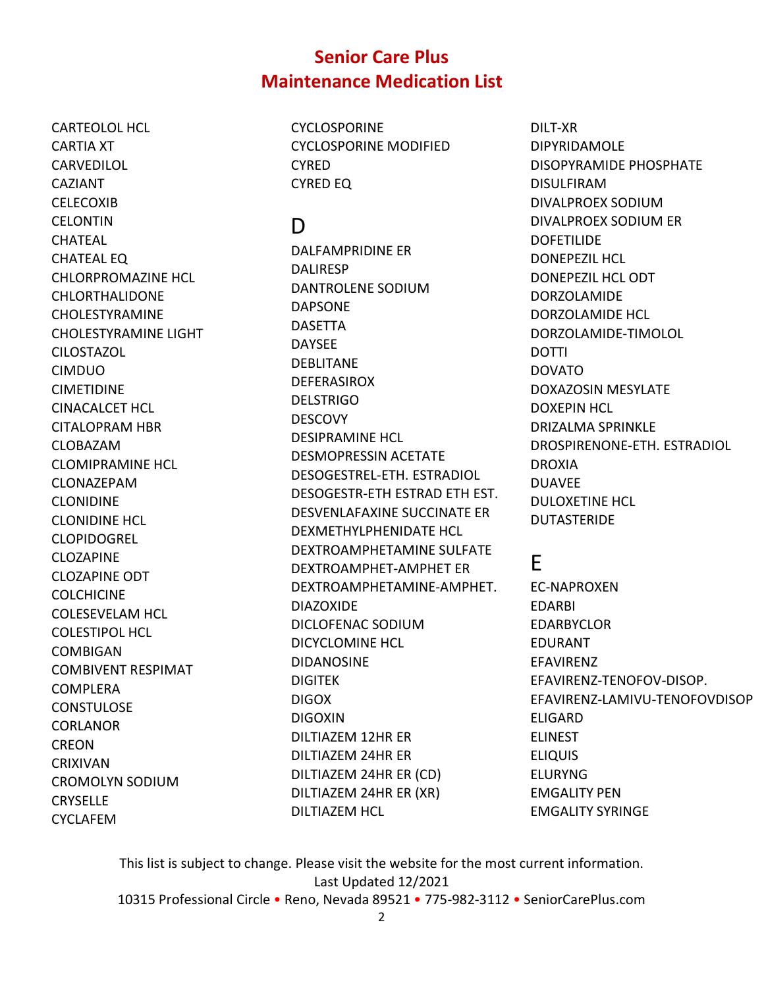CARTEOLOL HCL CARTIA XT CARVEDILOL CAZIANT **CELECOXIB** CELONTIN CHATEAL CHATEAL EQ CHLORPROMAZINE HCL CHLORTHALIDONE CHOLESTYRAMINE CHOLESTYRAMINE LIGHT CILOSTAZOL CIMDUO CIMETIDINE CINACALCET HCL CITALOPRAM HBR CLOBAZAM CLOMIPRAMINE HCL CLONAZEPAM CLONIDINE CLONIDINE HCL CLOPIDOGREL CLOZAPINE CLOZAPINE ODT **COLCHICINE** COLESEVELAM HCL COLESTIPOL HCL COMBIGAN COMBIVENT RESPIMAT COMPLERA **CONSTULOSE CORLANOR** CREON CRIXIVAN CROMOLYN SODIUM **CRYSELLE** CYCLAFEM

**CYCLOSPORINE** CYCLOSPORINE MODIFIED **CYRED** CYRED EQ

# D

DALFAMPRIDINE ER DALIRESP DANTROLENE SODIUM DAPSONE DASETTA DAYSEE DEBLITANE DEFERASIROX **DELSTRIGO** DESCOVY DESIPRAMINE HCL DESMOPRESSIN ACETATE DESOGESTREL-ETH. ESTRADIOL DESOGESTR-ETH ESTRAD ETH EST. DESVENLAFAXINE SUCCINATE ER DEXMETHYLPHENIDATE HCL DEXTROAMPHETAMINE SULFATE DEXTROAMPHET-AMPHET ER DEXTROAMPHETAMINE-AMPHET. DIAZOXIDE DICLOFENAC SODIUM DICYCLOMINE HCL DIDANOSINE DIGITEK DIGOX DIGOXIN DILTIAZEM 12HR ER DILTIAZEM 24HR ER DILTIAZEM 24HR ER (CD) DILTIAZEM 24HR ER (XR) DILTIAZEM HCL

DILT-XR DIPYRIDAMOLE DISOPYRAMIDE PHOSPHATE DISULFIRAM DIVALPROEX SODIUM DIVALPROEX SODIUM ER DOFETILIDE DONEPEZIL HCL DONEPEZIL HCL ODT DORZOLAMIDE DORZOLAMIDE HCL DORZOLAMIDE-TIMOLOL DOTTI DOVATO DOXAZOSIN MESYLATE DOXEPIN HCL DRIZALMA SPRINKLE DROSPIRENONE-ETH. ESTRADIOL DROXIA DUAVEE DULOXETINE HCL DUTASTERIDE

# E

EC-NAPROXEN EDARBI EDARBYCLOR EDURANT EFAVIRENZ EFAVIRENZ-TENOFOV-DISOP. EFAVIRENZ-LAMIVU-TENOFOVDISOP ELIGARD ELINEST ELIQUIS ELURYNG EMGALITY PEN EMGALITY SYRINGE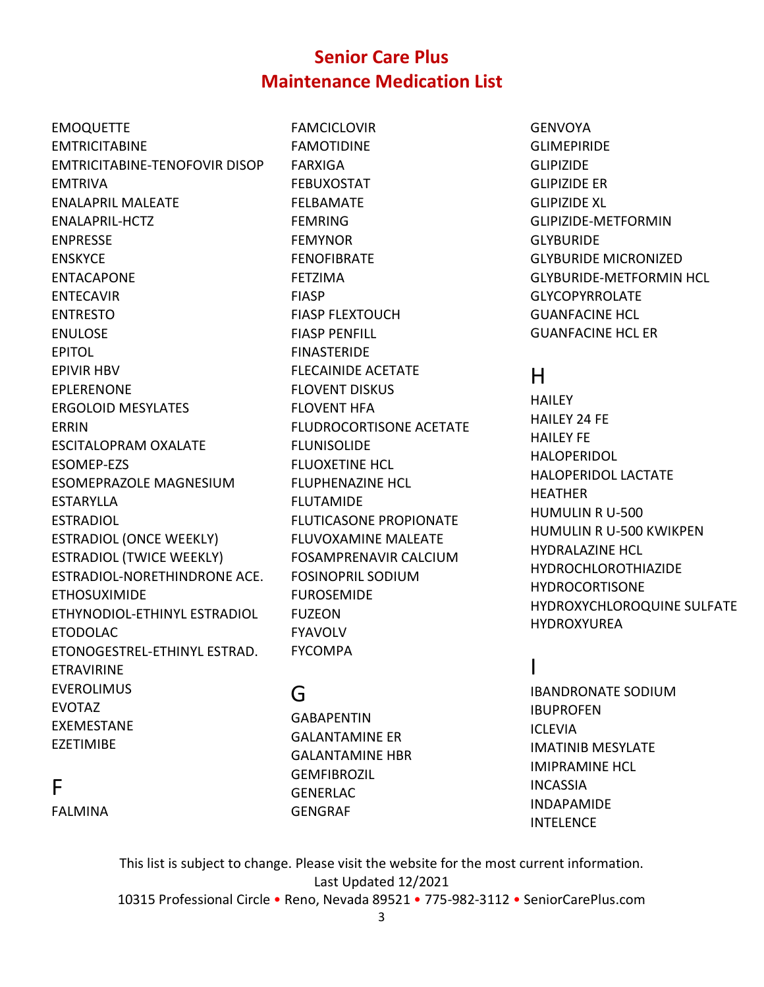EMOQUETTE EMTRICITABINE EMTRICITABINE-TENOFOVIR DISOP EMTRIVA ENALAPRIL MALEATE ENALAPRIL-HCTZ ENPRESSE ENSKYCE ENTACAPONE ENTECAVIR ENTRESTO ENULOSE EPITOL EPIVIR HBV EPLERENONE ERGOLOID MESYLATES ERRIN ESCITALOPRAM OXALATE ESOMEP-EZS ESOMEPRAZOLE MAGNESIUM ESTARYLLA ESTRADIOL ESTRADIOL (ONCE WEEKLY) ESTRADIOL (TWICE WEEKLY) ESTRADIOL-NORETHINDRONE ACE. ETHOSUXIMIDE ETHYNODIOL-ETHINYL ESTRADIOL ETODOLAC ETONOGESTREL-ETHINYL ESTRAD. ETRAVIRINE EVEROLIMUS EVOTAZ EXEMESTANE EZETIMIBE

FAMCICLOVIR FAMOTIDINE FARXIGA FEBUXOSTAT FELBAMATE FEMRING FEMYNOR FENOFIBRATE FETZIMA FIASP FIASP FLEXTOUCH FIASP PENFILL FINASTERIDE FLECAINIDE ACETATE FLOVENT DISKUS FLOVENT HFA FLUDROCORTISONE ACETATE FLUNISOLIDE FLUOXETINE HCL FLUPHENAZINE HCL FLUTAMIDE FLUTICASONE PROPIONATE FLUVOXAMINE MALEATE FOSAMPRENAVIR CALCIUM FOSINOPRIL SODIUM FUROSEMIDE FUZEON FYAVOLV FYCOMPA

# G

GABAPENTIN GALANTAMINE ER GALANTAMINE HBR GEMFIBROZIL GENERLAC GENGRAF

GENVOYA GLIMEPIRIDE GLIPIZIDE GLIPIZIDE ER GLIPIZIDE XL GLIPIZIDE-METFORMIN **GLYBURIDE** GLYBURIDE MICRONIZED GLYBURIDE-METFORMIN HCL GLYCOPYRROLATE GUANFACINE HCL GUANFACINE HCL ER

# H

**HAILEY** HAILEY 24 FE HAILEY FE HALOPERIDOL HALOPERIDOL LACTATE HEATHER HUMULIN R U-500 HUMULIN R U-500 KWIKPEN HYDRALAZINE HCL HYDROCHLOROTHIAZIDE HYDROCORTISONE HYDROXYCHLOROQUINE SULFATE HYDROXYUREA

# I

IBANDRONATE SODIUM IBUPROFEN **ICLEVIA** IMATINIB MESYLATE IMIPRAMINE HCL INCASSIA INDAPAMIDE **INTELENCE** 

FALMINA

F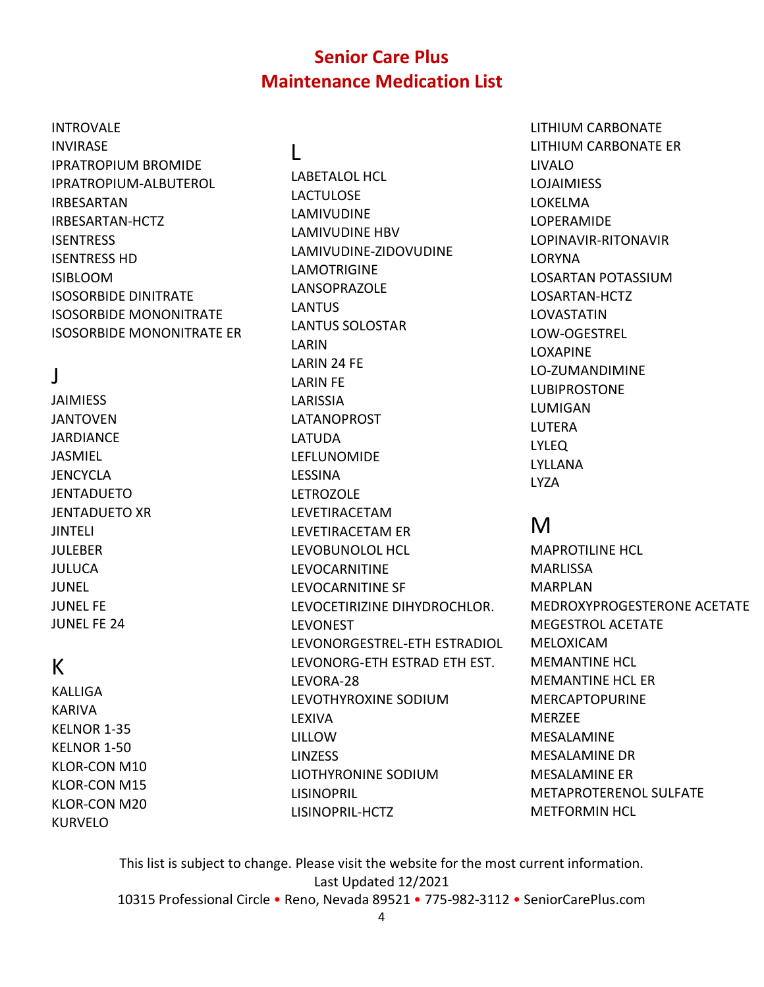## INTROVALE INVIRASE

IPRATROPIUM BROMIDE IPRATROPIUM-ALBUTEROL IRBESARTAN IRBESARTAN-HCTZ **ISENTRESS** ISENTRESS HD ISIBLOOM ISOSORBIDE DINITRATE ISOSORBIDE MONONITRATE ISOSORBIDE MONONITRATE ER

# J

JAIMIESS JANTOVEN JARDIANCE JASMIEL **JENCYCLA** JENTADUETO JENTADUETO XR JINTELI JULEBER JULUCA JUNEL JUNEL FE JUNEL FE 24

# K

KALLIGA KARIVA KELNOR 1-35 KELNOR 1-50 KLOR-CON M10 KLOR-CON M15 KLOR-CON M20 KURVELO

# $\mathbf{L}$

LABETALOL HCL LACTULOSE LAMIVUDINE LAMIVUDINE HBV LAMIVUDINE-ZIDOVUDINE LAMOTRIGINE LANSOPRAZOLE **LANTUS** LANTUS SOLOSTAR LARIN LARIN 24 FE LARIN FE LARISSIA LATANOPROST LATUDA LEFLUNOMIDE LESSINA LETROZOLE LEVETIRACETAM LEVETIRACETAM ER LEVOBUNOLOL HCL LEVOCARNITINE LEVOCARNITINE SF LEVOCETIRIZINE DIHYDROCHLOR. LEVONEST LEVONORGESTREL-ETH ESTRADIOL LEVONORG-ETH ESTRAD ETH EST. LEVORA-28 LEVOTHYROXINE SODIUM LEXIVA LILLOW LINZESS LIOTHYRONINE SODIUM LISINOPRIL LISINOPRIL-HCTZ

LITHIUM CARBONATE LITHIUM CARBONATE ER LIVALO LOJAIMIESS LOKELMA LOPERAMIDE LOPINAVIR-RITONAVIR LORYNA LOSARTAN POTASSIUM LOSARTAN-HCTZ LOVASTATIN LOW-OGESTREL LOXAPINE LO-ZUMANDIMINE LUBIPROSTONE LUMIGAN LUTERA LYLEQ LYLLANA LYZA

# M

MAPROTILINE HCL MARLISSA MARPLAN MEDROXYPROGESTERONE ACETATE MEGESTROL ACETATE MELOXICAM MEMANTINE HCL MEMANTINE HCL ER MERCAPTOPURINE MERZEE MESALAMINE MESALAMINE DR MESALAMINE ER METAPROTERENOL SULFATE METFORMIN HCL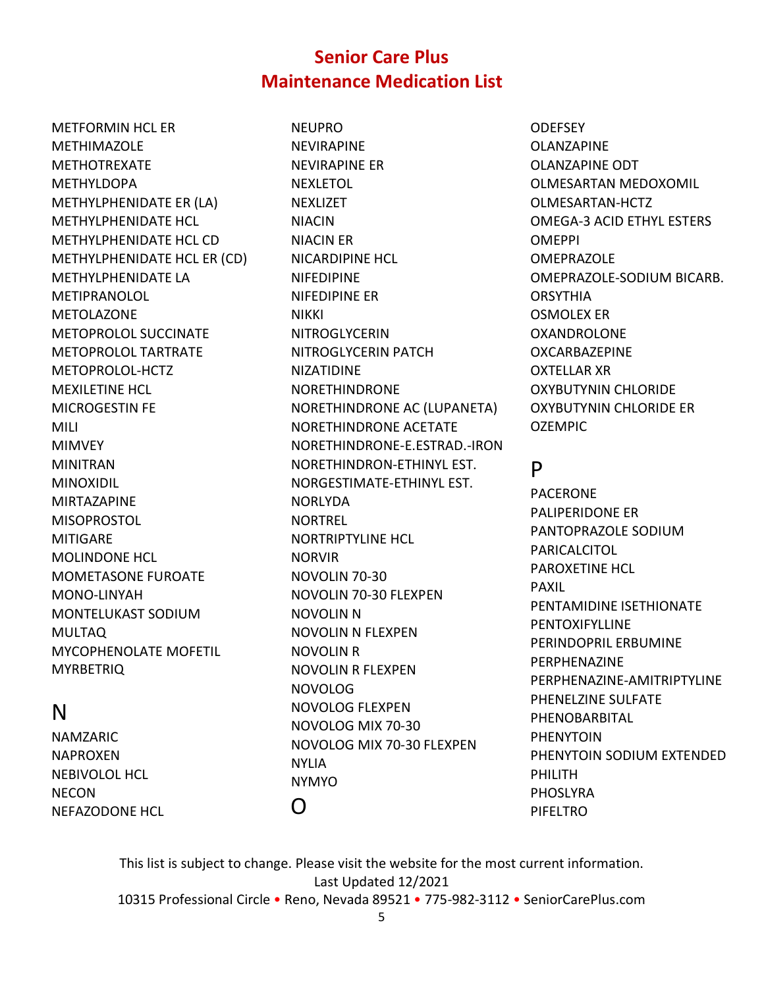METFORMIN HCL ER METHIMAZOLE METHOTREXATE METHYLDOPA METHYLPHENIDATE ER (LA) METHYLPHENIDATE HCL METHYLPHENIDATE HCL CD METHYLPHENIDATE HCL ER (CD) METHYLPHENIDATE LA METIPRANOLOL METOLAZONE METOPROLOL SUCCINATE METOPROLOL TARTRATE METOPROLOL-HCTZ MEXILETINE HCL MICROGESTIN FE MILI MIMVEY MINITRAN MINOXIDIL MIRTAZAPINE MISOPROSTOL MITIGARE MOLINDONE HCL MOMETASONE FUROATE MONO-LINYAH MONTELUKAST SODIUM MULTAQ MYCOPHENOLATE MOFETIL **MYRBETRIQ** 

# N

NAMZARIC NAPROXEN NEBIVOLOL HCL NECON NEFAZODONE HCL NEUPRO NEVIRAPINE NEVIRAPINE ER **NEXLETOL NEXLIZET** NIACIN NIACIN ER NICARDIPINE HCL NIFEDIPINE NIFEDIPINE ER NIKKI NITROGLYCERIN NITROGLYCERIN PATCH NIZATIDINE NORETHINDRONE NORETHINDRONE AC (LUPANETA) NORETHINDRONE ACETATE NORETHINDRONE-E.ESTRAD.-IRON NORETHINDRON-ETHINYL EST. NORGESTIMATE-ETHINYL EST. NORLYDA NORTREL NORTRIPTYLINE HCL NORVIR NOVOLIN 70-30 NOVOLIN 70-30 FLEXPEN NOVOLIN N NOVOLIN N FLEXPEN NOVOLIN R NOVOLIN R FLEXPEN NOVOLOG NOVOLOG FLEXPEN NOVOLOG MIX 70-30 NOVOLOG MIX 70-30 FLEXPEN NYLIA NYMYO  $\Omega$ 

**ODEFSEY** OLANZAPINE OLANZAPINE ODT OLMESARTAN MEDOXOMIL OLMESARTAN-HCTZ OMEGA-3 ACID ETHYL ESTERS OMEPPI **OMEPRAZOLE** OMEPRAZOLE-SODIUM BICARB. **ORSYTHIA** OSMOLEX ER OXANDROLONE OXCARBAZEPINE OXTELLAR XR OXYBUTYNIN CHLORIDE OXYBUTYNIN CHLORIDE ER OZEMPIC

# P

PACERONE PALIPERIDONE ER PANTOPRAZOLE SODIUM PARICALCITOL PAROXETINE HCL PAXIL PENTAMIDINE ISETHIONATE PENTOXIFYLLINE PERINDOPRIL ERBUMINE PERPHENAZINE PERPHENAZINE-AMITRIPTYLINE PHENELZINE SULFATE PHENOBARBITAL PHENYTOIN PHENYTOIN SODIUM EXTENDED PHILITH PHOSLYRA PIFELTRO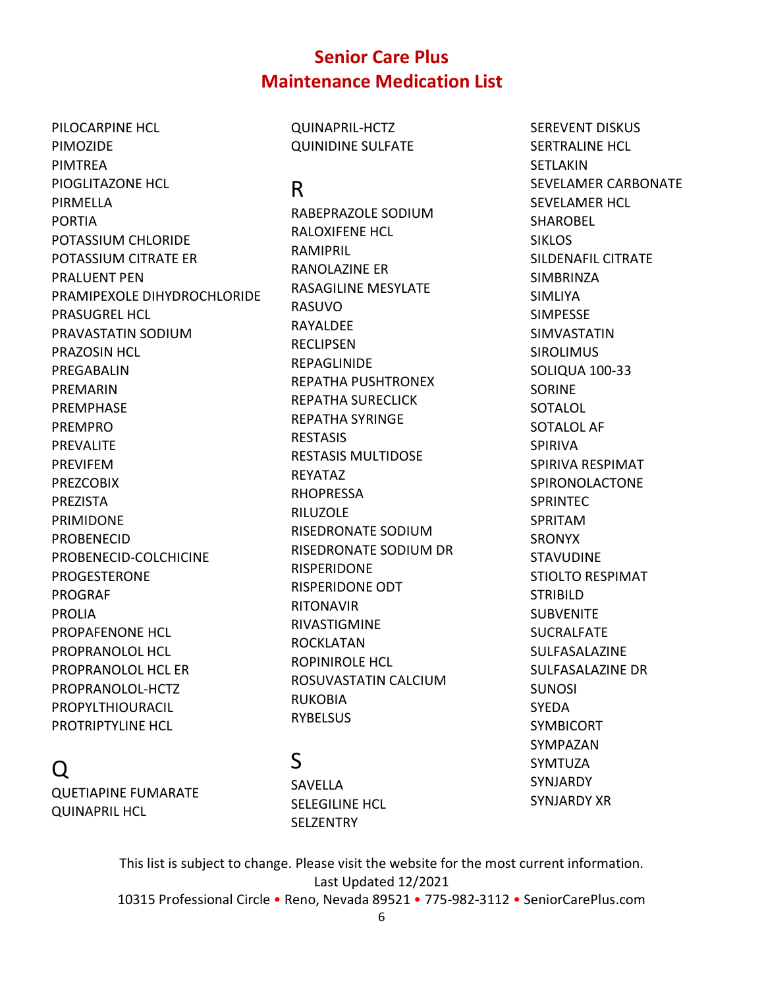PILOCARPINE HCL PIMOZIDE PIMTREA PIOGLITAZONE HCL PIRMELLA PORTIA POTASSIUM CHLORIDE POTASSIUM CITRATE ER PRALUENT PEN PRAMIPEXOLE DIHYDROCHLORIDE PRASUGREL HCL PRAVASTATIN SODIUM PRAZOSIN HCL PREGABALIN PREMARIN PREMPHASE PREMPRO PREVALITE PREVIFEM PREZCOBIX PREZISTA PRIMIDONE PROBENECID PROBENECID-COLCHICINE PROGESTERONE PROGRAF PROLIA PROPAFENONE HCL PROPRANOLOL HCL PROPRANOLOL HCL ER PROPRANOLOL-HCTZ PROPYLTHIOURACIL PROTRIPTYLINE HCL

Q

QUETIAPINE FUMARATE

QUINAPRIL HCL

#### QUINAPRIL-HCTZ QUINIDINE SULFATE

#### R

RABEPRAZOLE SODIUM RALOXIFENE HCL RAMIPRIL RANOLAZINE ER RASAGILINE MESYLATE **RASUVO** RAYALDEE RECLIPSEN REPAGLINIDE REPATHA PUSHTRONEX REPATHA SURECLICK REPATHA SYRINGE RESTASIS RESTASIS MULTIDOSE REYATAZ RHOPRESSA RILUZOLE RISEDRONATE SODIUM RISEDRONATE SODIUM DR RISPERIDONE RISPERIDONE ODT RITONAVIR RIVASTIGMINE ROCKLATAN ROPINIROLE HCL ROSUVASTATIN CALCIUM RUKOBIA **RYBELSUS** 

SEREVENT DISKUS SERTRALINE HCL **SETLAKIN** SEVELAMER CARBONATE SEVELAMER HCL SHAROBEL SIKLOS SILDENAFIL CITRATE SIMBRINZA SIMLIYA SIMPESSE SIMVASTATIN SIROLIMUS SOLIQUA 100-33 SORINE SOTALOL SOTALOL AF SPIRIVA SPIRIVA RESPIMAT SPIRONOLACTONE SPRINTEC SPRITAM SRONYX STAVUDINE STIOLTO RESPIMAT STRIBILD **SUBVENITE** SUCRALFATE SULFASALAZINE SULFASALAZINE DR SUNOSI SYEDA SYMBICORT SYMPAZAN SYMTUZA SYNJARDY SYNJARDY XR

This list is subject to change. Please visit the website for the most current information. Last Updated 12/2021 10315 Professional Circle • Reno, Nevada 89521 • 775-982-3112 • SeniorCarePlus.com

S

SAVELLA

SELEGILINE HCL **SELZENTRY**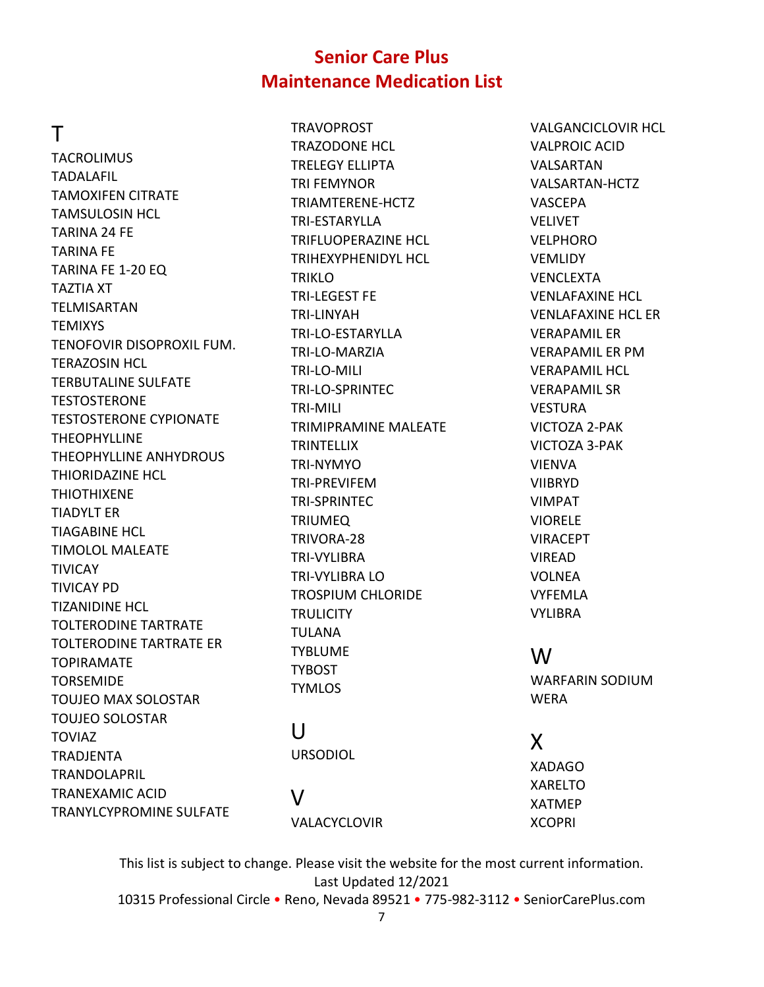### T

**TACROLIMUS** TADALAFIL TAMOXIFEN CITRATE TAMSULOSIN HCL TARINA 24 FE TARINA FE TARINA FE 1-20 EQ TAZTIA XT TELMISARTAN **TEMIXYS** TENOFOVIR DISOPROXIL FUM. TERAZOSIN HCL TERBUTALINE SULFATE **TESTOSTERONE** TESTOSTERONE CYPIONATE **THEOPHYLLINE** THEOPHYLLINE ANHYDROUS THIORIDAZINE HCL THIOTHIXENE TIADYLT ER TIAGABINE HCL TIMOLOL MALEATE **TIVICAY** TIVICAY PD TIZANIDINE HCL TOLTERODINE TARTRATE TOLTERODINE TARTRATE ER **TOPIRAMATE** TORSEMIDE TOUJEO MAX SOLOSTAR TOUJEO SOLOSTAR TOVIAZ TRADJENTA TRANDOLAPRIL TRANEXAMIC ACID TRANYLCYPROMINE SULFATE

**TRAVOPROST** TRAZODONE HCL TRELEGY ELLIPTA TRI FEMYNOR TRIAMTERENE-HCTZ TRI-ESTARYLLA TRIFLUOPERAZINE HCL TRIHEXYPHENIDYL HCL TRIKLO TRI-LEGEST FE TRI-LINYAH TRI-LO-ESTARYLLA TRI-LO-MARZIA TRI-LO-MILI TRI-LO-SPRINTEC TRI-MILI TRIMIPRAMINE MALEATE **TRINTELLIX** TRI-NYMYO TRI-PREVIFEM TRI-SPRINTEC TRIUMEQ TRIVORA-28 TRI-VYLIBRA TRI-VYLIBRA LO TROSPIUM CHLORIDE **TRULICITY** TULANA **TYBLUME** TYBOST **TYMLOS** 

# U

URSODIOL

X XADAGO XARELTO XATMEP

**XCOPRI** 

W

**WERA** 

WARFARIN SODIUM

VALGANCICLOVIR HCL

VALPROIC ACID VALSARTAN

VASCEPA VELIVET VELPHORO **VEMLIDY** VENCLEXTA

VALSARTAN-HCTZ

VENLAFAXINE HCL VENLAFAXINE HCL ER

VERAPAMIL ER VERAPAMIL ER PM VERAPAMIL HCL VERAPAMIL SR

VICTOZA 2-PAK VICTOZA 3-PAK

VESTURA

VIENVA VIIBRYD VIMPAT VIORELE VIRACEPT VIREAD VOLNEA VYFEMLA VYLIBRA

V

VALACYCLOVIR

This list is subject to change. Please visit the website for the most current information. Last Updated 12/2021

10315 Professional Circle • Reno, Nevada 89521 • 775-982-3112 • SeniorCarePlus.com